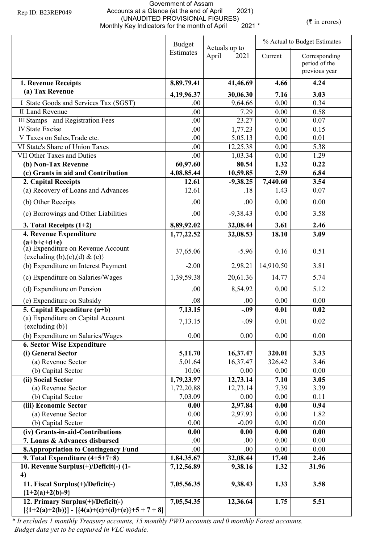## Government of Assam Accounts at a Glance (at the end of April 2021) (UNAUDITED PROVISIONAL FIGURES)<br>y Key Indicators for the month of April 2021 \* (UNAUDITED PROVISIONAL FIGURES)<br>Monthly Key Indicators for the month of April 2021 \* (\* in crores)

|                                                                                      | <b>Budget</b><br>Actuals up to |               |                  | % Actual to Budget Estimates                    |  |  |
|--------------------------------------------------------------------------------------|--------------------------------|---------------|------------------|-------------------------------------------------|--|--|
|                                                                                      | Estimates                      | April<br>2021 | Current          | Corresponding<br>period of the<br>previous year |  |  |
| 1. Revenue Receipts                                                                  | 8,89,79.41                     | 41,46.69      | 4.66             | 4.24                                            |  |  |
| (a) Tax Revenue                                                                      | 4,19,96.37                     | 30,06.30      | 7.16             | 3.03                                            |  |  |
| I State Goods and Services Tax (SGST)                                                | .00.                           | 9,64.66       | 0.00             | 0.34                                            |  |  |
| II Land Revenue                                                                      | .00                            | 7.29          | 0.00             | 0.58                                            |  |  |
| <b>III Stamps</b> and Registration Fees                                              | .00                            | 23.27         | 0.00             | 0.07                                            |  |  |
| <b>IV State Excise</b>                                                               | .00                            | 1,77.23       | 0.00             | 0.15                                            |  |  |
| V Taxes on Sales, Trade etc.                                                         | .00                            | 5,05.13       | 0.00             | 0.01                                            |  |  |
| VI State's Share of Union Taxes                                                      | .00                            | 12,25.38      | 0.00             | 5.38                                            |  |  |
| VII Other Taxes and Duties                                                           | .00                            | 1,03.34       | 0.00             | 1.29                                            |  |  |
| (b) Non-Tax Revenue                                                                  | 60,97.60                       | 80.54         | 1.32             | 0.22                                            |  |  |
| (c) Grants in aid and Contribution                                                   | 4,08,85.44                     | 10,59.85      | 2.59             | 6.84                                            |  |  |
| 2. Capital Receipts                                                                  | 12.61                          | $-9,38.25$    | 7,440.60<br>1.43 | 3.54                                            |  |  |
| (a) Recovery of Loans and Advances                                                   | 12.61                          | .18           |                  | 0.07                                            |  |  |
| (b) Other Receipts                                                                   | .00                            | .00           | 0.00             | 0.00                                            |  |  |
| (c) Borrowings and Other Liabilities                                                 | .00                            | $-9,38.43$    | 0.00             | 3.58                                            |  |  |
| 3. Total Receipts $(1+2)$                                                            | 8,89,92.02                     | 32,08.44      | 3.61             | 2.46                                            |  |  |
| 4. Revenue Expenditure                                                               | 1,77,22.52                     | 32,08.53      | 18.10            | 3.09                                            |  |  |
| $(a+b+c+d+e)$<br>(a) Expenditure on Revenue Account<br>{excluding (b),(c),(d) & (e)} | 37,65.06                       | $-5.96$       | 0.16             | 0.51                                            |  |  |
| (b) Expenditure on Interest Payment                                                  | $-2.00$                        | 2,98.21       | 14,910.50        | 3.81                                            |  |  |
| (c) Expenditure on Salaries/Wages                                                    | 1,39,59.38                     | 20,61.36      | 14.77            | 5.74                                            |  |  |
| (d) Expenditure on Pension                                                           | .00                            | 8,54.92       | 0.00             | 5.12                                            |  |  |
| (e) Expenditure on Subsidy                                                           | .08                            | .00           | 0.00             | 0.00                                            |  |  |
| 5. Capital Expenditure (a+b)                                                         | 7,13.15                        | $-.09$        | 0.01             | 0.02                                            |  |  |
| (a) Expenditure on Capital Account<br>$\{excluding (b)\}$                            | 7,13.15                        | $-.09$        | 0.01             | 0.02                                            |  |  |
| (b) Expenditure on Salaries/Wages                                                    | 0.00                           | 0.00          | 0.00             | 0.00                                            |  |  |
| <b>6. Sector Wise Expenditure</b>                                                    |                                |               |                  |                                                 |  |  |
| (i) General Sector                                                                   | 5,11.70                        | 16,37.47      | 320.01           | 3.33                                            |  |  |
| (a) Revenue Sector                                                                   | 5,01.64                        | 16,37.47      | 326.42           | 3.46                                            |  |  |
| (b) Capital Sector                                                                   | 10.06                          | 0.00          | 0.00             | 0.00                                            |  |  |
| (ii) Social Sector                                                                   | 1,79,23.97                     | 12,73.14      | 7.10             | 3.05                                            |  |  |
| (a) Revenue Sector                                                                   | 1,72,20.88                     | 12,73.14      | 7.39             | 3.39                                            |  |  |
| (b) Capital Sector                                                                   | 7,03.09                        | 0.00          | 0.00             | 0.11                                            |  |  |
| (iii) Economic Sector                                                                | 0.00                           | 2,97.84       | 0.00             | 0.94                                            |  |  |
| (a) Revenue Sector                                                                   | 0.00                           | 2,97.93       | 0.00             | 1.82                                            |  |  |
| (b) Capital Sector                                                                   | 0.00                           | $-0.09$       | 0.00             | 0.00                                            |  |  |
| (iv) Grants-in-aid-Contributions                                                     | 0.00                           | 0.00          | 0.00             | 0.00                                            |  |  |
| 7. Loans & Advances disbursed                                                        | .00.                           | .00           | 0.00             | 0.00                                            |  |  |
| <b>8. Appropriation to Contingency Fund</b>                                          | .00                            | .00           | 0.00             | 0.00                                            |  |  |
| 9. Total Expenditure $(4+5+7+8)$                                                     | 1,84,35.67                     | 32,08.44      | 17.40            | 2.46                                            |  |  |
| 10. Revenue Surplus(+)/Deficit(-) (1-<br>4)                                          | 7,12,56.89                     | 9,38.16       | 1.32             | 31.96                                           |  |  |
| 11. Fiscal Surplus(+)/Deficit(-)<br>${1+2(a)+2(b)-9}$                                | 7,05,56.35                     | 9,38.43       | 1.33             | 3.58                                            |  |  |
| 12. Primary Surplus(+)/Deficit(-)                                                    | 7,05,54.35                     | 12,36.64      | 1.75             | 5.51                                            |  |  |
| $[\{1+2(a)+2(b)\}] - [\{4(a)+(c)+(d)+(e)\}+5+7+8]$                                   |                                |               |                  |                                                 |  |  |

*\* It excludes 1 monthly Treasury accounts, 15 monthly PWD accounts and 0 monthly Forest accounts. Budget data yet to be captured in VLC module.*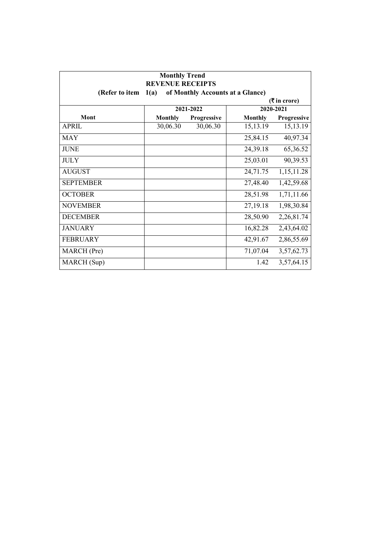| <b>Monthly Trend</b><br><b>REVENUE RECEIPTS</b><br>(Refer to item<br>1(a)<br>of Monthly Accounts at a Glance) |                |             |                |             |  |
|---------------------------------------------------------------------------------------------------------------|----------------|-------------|----------------|-------------|--|
| $(3\overline{5})$ in crore)                                                                                   |                |             |                |             |  |
|                                                                                                               |                | 2021-2022   |                | 2020-2021   |  |
| Mont                                                                                                          | <b>Monthly</b> | Progressive | <b>Monthly</b> | Progressive |  |
| <b>APRIL</b>                                                                                                  | 30,06.30       | 30,06.30    | 15,13.19       | 15,13.19    |  |
| <b>MAY</b>                                                                                                    |                |             | 25,84.15       | 40,97.34    |  |
| <b>JUNE</b>                                                                                                   |                |             | 24,39.18       | 65,36.52    |  |
| <b>JULY</b>                                                                                                   |                |             | 25,03.01       | 90,39.53    |  |
| <b>AUGUST</b>                                                                                                 |                |             | 24,71.75       | 1,15,11.28  |  |
| <b>SEPTEMBER</b>                                                                                              |                |             | 27,48.40       | 1,42,59.68  |  |
| <b>OCTOBER</b>                                                                                                |                |             | 28,51.98       | 1,71,11.66  |  |
| <b>NOVEMBER</b>                                                                                               |                |             | 27,19.18       | 1,98,30.84  |  |
| <b>DECEMBER</b>                                                                                               |                |             | 28,50.90       | 2,26,81.74  |  |
| <b>JANUARY</b>                                                                                                |                |             | 16,82.28       | 2,43,64.02  |  |
| <b>FEBRUARY</b>                                                                                               |                |             | 42,91.67       | 2,86,55.69  |  |
| MARCH (Pre)                                                                                                   |                |             | 71,07.04       | 3,57,62.73  |  |
| MARCH (Sup)                                                                                                   |                |             | 1.42           | 3,57,64.15  |  |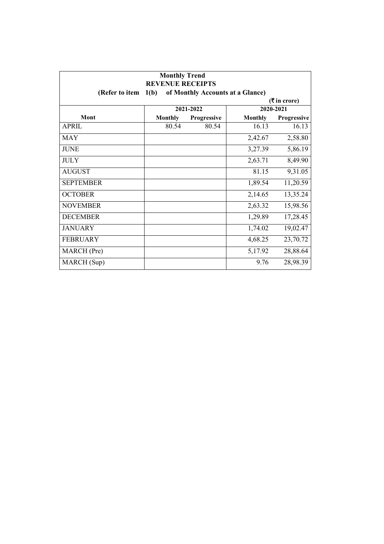| <b>Monthly Trend</b><br><b>REVENUE RECEIPTS</b><br>1(b)<br>of Monthly Accounts at a Glance)<br>(Refer to item |                |             |                |             |
|---------------------------------------------------------------------------------------------------------------|----------------|-------------|----------------|-------------|
| $(3\overline{5})$ in crore)<br>2020-2021                                                                      |                |             |                |             |
|                                                                                                               |                | 2021-2022   |                |             |
| Mont                                                                                                          | <b>Monthly</b> | Progressive | <b>Monthly</b> | Progressive |
| <b>APRIL</b>                                                                                                  | 80.54          | 80.54       | 16.13          | 16.13       |
| <b>MAY</b>                                                                                                    |                |             | 2,42.67        | 2,58.80     |
| <b>JUNE</b>                                                                                                   |                |             | 3,27.39        | 5,86.19     |
| <b>JULY</b>                                                                                                   |                |             | 2,63.71        | 8,49.90     |
| <b>AUGUST</b>                                                                                                 |                |             | 81.15          | 9,31.05     |
| <b>SEPTEMBER</b>                                                                                              |                |             | 1,89.54        | 11,20.59    |
| <b>OCTOBER</b>                                                                                                |                |             | 2,14.65        | 13,35.24    |
| <b>NOVEMBER</b>                                                                                               |                |             | 2,63.32        | 15,98.56    |
| <b>DECEMBER</b>                                                                                               |                |             | 1,29.89        | 17,28.45    |
| <b>JANUARY</b>                                                                                                |                |             | 1,74.02        | 19,02.47    |
| <b>FEBRUARY</b>                                                                                               |                |             | 4,68.25        | 23,70.72    |
| MARCH (Pre)                                                                                                   |                |             | 5,17.92        | 28,88.64    |
| MARCH (Sup)                                                                                                   |                |             | 9.76           | 28,98.39    |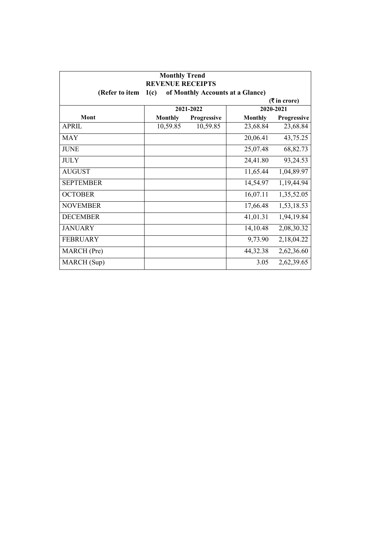| <b>Monthly Trend</b><br><b>REVENUE RECEIPTS</b><br>(Refer to item<br>of Monthly Accounts at a Glance)<br>1(c) |                |             |                |             |  |
|---------------------------------------------------------------------------------------------------------------|----------------|-------------|----------------|-------------|--|
| $(3\overline{5})$ in crore)                                                                                   |                |             |                |             |  |
|                                                                                                               |                | 2021-2022   |                | 2020-2021   |  |
| Mont                                                                                                          | <b>Monthly</b> | Progressive | <b>Monthly</b> | Progressive |  |
| <b>APRIL</b>                                                                                                  | 10,59.85       | 10,59.85    | 23,68.84       | 23,68.84    |  |
| <b>MAY</b>                                                                                                    |                |             | 20,06.41       | 43,75.25    |  |
| <b>JUNE</b>                                                                                                   |                |             | 25,07.48       | 68,82.73    |  |
| <b>JULY</b>                                                                                                   |                |             | 24,41.80       | 93,24.53    |  |
| <b>AUGUST</b>                                                                                                 |                |             | 11,65.44       | 1,04,89.97  |  |
| <b>SEPTEMBER</b>                                                                                              |                |             | 14,54.97       | 1,19,44.94  |  |
| <b>OCTOBER</b>                                                                                                |                |             | 16,07.11       | 1,35,52.05  |  |
| <b>NOVEMBER</b>                                                                                               |                |             | 17,66.48       | 1,53,18.53  |  |
| <b>DECEMBER</b>                                                                                               |                |             | 41,01.31       | 1,94,19.84  |  |
| <b>JANUARY</b>                                                                                                |                |             | 14,10.48       | 2,08,30.32  |  |
| <b>FEBRUARY</b>                                                                                               |                |             | 9,73.90        | 2,18,04.22  |  |
| MARCH (Pre)                                                                                                   |                |             | 44,32.38       | 2,62,36.60  |  |
| MARCH (Sup)                                                                                                   |                |             | 3.05           | 2,62,39.65  |  |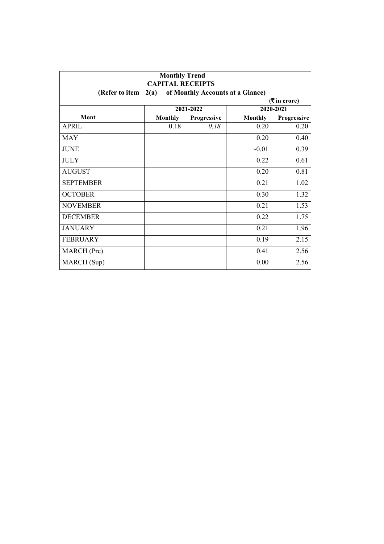| <b>Monthly Trend</b><br><b>CAPITAL RECEIPTS</b><br>of Monthly Accounts at a Glance)<br>(Refer to item<br>2(a) |                |             |                |             |
|---------------------------------------------------------------------------------------------------------------|----------------|-------------|----------------|-------------|
|                                                                                                               |                |             |                |             |
|                                                                                                               |                | 2021-2022   |                | 2020-2021   |
| Mont                                                                                                          | <b>Monthly</b> | Progressive | <b>Monthly</b> | Progressive |
| <b>APRIL</b>                                                                                                  | 0.18           | 0.18        | 0.20           | 0.20        |
| <b>MAY</b>                                                                                                    |                |             | 0.20           | 0.40        |
| <b>JUNE</b>                                                                                                   |                |             | $-0.01$        | 0.39        |
| <b>JULY</b>                                                                                                   |                |             | 0.22           | 0.61        |
| <b>AUGUST</b>                                                                                                 |                |             | 0.20           | 0.81        |
| <b>SEPTEMBER</b>                                                                                              |                |             | 0.21           | 1.02        |
| <b>OCTOBER</b>                                                                                                |                |             | 0.30           | 1.32        |
| <b>NOVEMBER</b>                                                                                               |                |             | 0.21           | 1.53        |
| <b>DECEMBER</b>                                                                                               |                |             | 0.22           | 1.75        |
| <b>JANUARY</b>                                                                                                |                |             | 0.21           | 1.96        |
| <b>FEBRUARY</b>                                                                                               |                |             | 0.19           | 2.15        |
| MARCH (Pre)                                                                                                   |                |             | 0.41           | 2.56        |
| MARCH (Sup)                                                                                                   |                |             | 0.00           | 2.56        |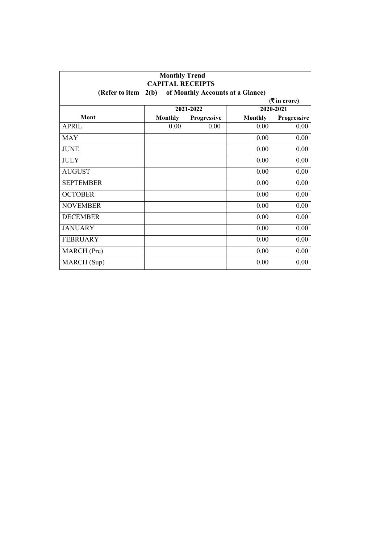| <b>Monthly Trend</b><br><b>CAPITAL RECEIPTS</b><br>2(b)<br>of Monthly Accounts at a Glance)<br>(Refer to item<br>$(3\overline{5})$ in crore) |                |             |                |             |
|----------------------------------------------------------------------------------------------------------------------------------------------|----------------|-------------|----------------|-------------|
|                                                                                                                                              |                |             |                |             |
| Mont                                                                                                                                         | <b>Monthly</b> | Progressive | <b>Monthly</b> | Progressive |
| <b>APRIL</b>                                                                                                                                 | 0.00           | 0.00        | 0.00           | 0.00        |
| <b>MAY</b>                                                                                                                                   |                |             | 0.00           | 0.00        |
| <b>JUNE</b>                                                                                                                                  |                |             | 0.00           | 0.00        |
| <b>JULY</b>                                                                                                                                  |                |             | 0.00           | 0.00        |
| <b>AUGUST</b>                                                                                                                                |                |             | 0.00           | 0.00        |
| <b>SEPTEMBER</b>                                                                                                                             |                |             | 0.00           | 0.00        |
| <b>OCTOBER</b>                                                                                                                               |                |             | 0.00           | 0.00        |
| <b>NOVEMBER</b>                                                                                                                              |                |             | 0.00           | 0.00        |
| <b>DECEMBER</b>                                                                                                                              |                |             | 0.00           | 0.00        |
| <b>JANUARY</b>                                                                                                                               |                |             | 0.00           | 0.00        |
| <b>FEBRUARY</b>                                                                                                                              |                |             | 0.00           | 0.00        |
| MARCH (Pre)                                                                                                                                  |                |             | 0.00           | 0.00        |
| MARCH (Sup)                                                                                                                                  |                |             | 0.00           | 0.00        |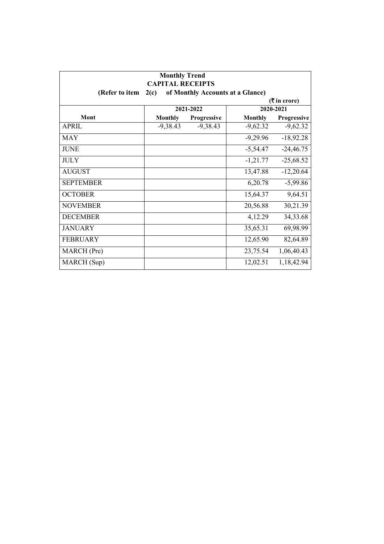| <b>Monthly Trend</b><br><b>CAPITAL RECEIPTS</b><br>(Refer to item<br>2(c)<br>of Monthly Accounts at a Glance) |                |             |                |             |  |
|---------------------------------------------------------------------------------------------------------------|----------------|-------------|----------------|-------------|--|
| ( ₹ in error)                                                                                                 |                |             |                |             |  |
|                                                                                                               |                | 2021-2022   |                | 2020-2021   |  |
| Mont                                                                                                          | <b>Monthly</b> | Progressive | <b>Monthly</b> | Progressive |  |
| <b>APRIL</b>                                                                                                  | $-9,38.43$     | $-9,38.43$  | $-9,62.32$     | $-9,62.32$  |  |
| <b>MAY</b>                                                                                                    |                |             | $-9,29.96$     | $-18,92.28$ |  |
| <b>JUNE</b>                                                                                                   |                |             | $-5,54.47$     | $-24,46.75$ |  |
| <b>JULY</b>                                                                                                   |                |             | $-1,21.77$     | $-25,68.52$ |  |
| <b>AUGUST</b>                                                                                                 |                |             | 13,47.88       | $-12,20.64$ |  |
| <b>SEPTEMBER</b>                                                                                              |                |             | 6,20.78        | $-5,99.86$  |  |
| <b>OCTOBER</b>                                                                                                |                |             | 15,64.37       | 9,64.51     |  |
| <b>NOVEMBER</b>                                                                                               |                |             | 20,56.88       | 30,21.39    |  |
| <b>DECEMBER</b>                                                                                               |                |             | 4,12.29        | 34, 33. 68  |  |
| <b>JANUARY</b>                                                                                                |                |             | 35,65.31       | 69,98.99    |  |
| <b>FEBRUARY</b>                                                                                               |                |             | 12,65.90       | 82,64.89    |  |
| MARCH (Pre)                                                                                                   |                |             | 23,75.54       | 1,06,40.43  |  |
| MARCH (Sup)                                                                                                   |                |             | 12,02.51       | 1,18,42.94  |  |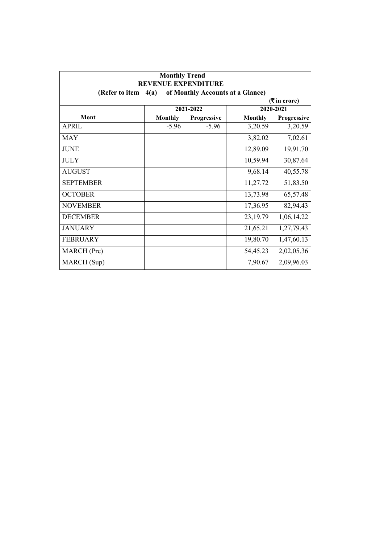| <b>Monthly Trend</b><br><b>REVENUE EXPENDITURE</b> |                |                                  |                |                    |
|----------------------------------------------------|----------------|----------------------------------|----------------|--------------------|
| (Refer to item                                     | 4(a)           | of Monthly Accounts at a Glance) |                |                    |
|                                                    |                |                                  |                | ( ₹ in error)      |
|                                                    |                | 2021-2022                        |                | 2020-2021          |
| Mont                                               | <b>Monthly</b> | Progressive                      | <b>Monthly</b> | <b>Progressive</b> |
| APRII.                                             | $-5.96$        | $-5.96$                          | 3,20.59        | 3,20.59            |
| <b>MAY</b>                                         |                |                                  | 3,82.02        | 7,02.61            |
| <b>JUNE</b>                                        |                |                                  | 12,89.09       | 19,91.70           |
| <b>JULY</b>                                        |                |                                  | 10,59.94       | 30,87.64           |
| <b>AUGUST</b>                                      |                |                                  | 9,68.14        | 40,55.78           |
| <b>SEPTEMBER</b>                                   |                |                                  | 11,27.72       | 51,83.50           |
| <b>OCTOBER</b>                                     |                |                                  | 13,73.98       | 65,57.48           |
| <b>NOVEMBER</b>                                    |                |                                  | 17,36.95       | 82,94.43           |
| <b>DECEMBER</b>                                    |                |                                  | 23,19.79       | 1,06,14.22         |
| <b>JANUARY</b>                                     |                |                                  | 21,65.21       | 1,27,79.43         |
| <b>FEBRUARY</b>                                    |                |                                  | 19,80.70       | 1,47,60.13         |
| MARCH (Pre)                                        |                |                                  | 54,45.23       | 2,02,05.36         |
| MARCH (Sup)                                        |                |                                  | 7,90.67        | 2,09,96.03         |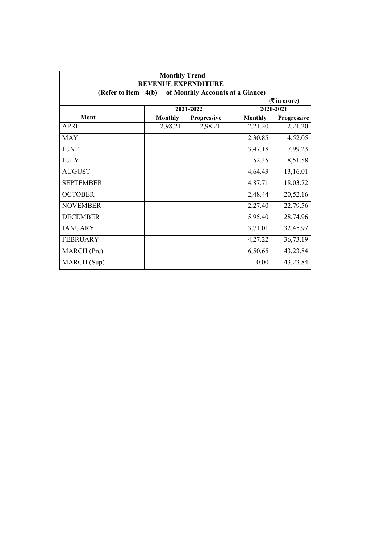| <b>Monthly Trend</b><br><b>REVENUE EXPENDITURE</b> |                |                                  |                |             |  |
|----------------------------------------------------|----------------|----------------------------------|----------------|-------------|--|
| (Refer to item                                     | 4(b)           | of Monthly Accounts at a Glance) |                |             |  |
| ( ₹ in error)<br>2021-2022<br>2020-2021            |                |                                  |                |             |  |
| Mont                                               | <b>Monthly</b> | Progressive                      | <b>Monthly</b> | Progressive |  |
| <b>APRIL</b>                                       | 2,98.21        | 2,98.21                          | 2,21.20        | 2,21.20     |  |
| <b>MAY</b>                                         |                |                                  | 2,30.85        | 4,52.05     |  |
| <b>JUNE</b>                                        |                |                                  | 3,47.18        | 7,99.23     |  |
| <b>JULY</b>                                        |                |                                  | 52.35          | 8,51.58     |  |
| <b>AUGUST</b>                                      |                |                                  | 4,64.43        | 13,16.01    |  |
| <b>SEPTEMBER</b>                                   |                |                                  | 4,87.71        | 18,03.72    |  |
| <b>OCTOBER</b>                                     |                |                                  | 2,48.44        | 20,52.16    |  |
| <b>NOVEMBER</b>                                    |                |                                  | 2,27.40        | 22,79.56    |  |
| <b>DECEMBER</b>                                    |                |                                  | 5,95.40        | 28,74.96    |  |
| <b>JANUARY</b>                                     |                |                                  | 3,71.01        | 32,45.97    |  |
| <b>FEBRUARY</b>                                    |                |                                  | 4,27.22        | 36,73.19    |  |
| MARCH (Pre)                                        |                |                                  | 6,50.65        | 43,23.84    |  |
| MARCH (Sup)                                        |                |                                  | 0.00           | 43,23.84    |  |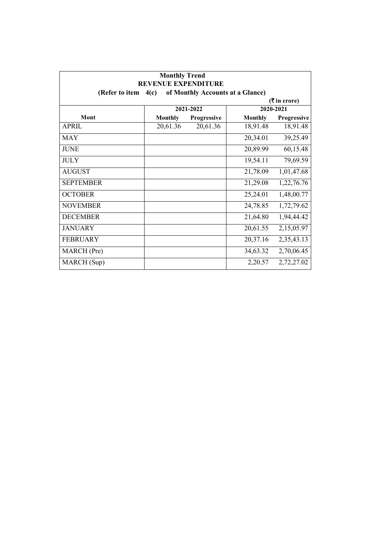| <b>Monthly Trend</b><br><b>REVENUE EXPENDITURE</b> |                |             |                                  |               |
|----------------------------------------------------|----------------|-------------|----------------------------------|---------------|
| (Refer to item                                     | 4(c)           |             | of Monthly Accounts at a Glance) |               |
|                                                    |                |             |                                  | ( ₹ in error) |
|                                                    |                | 2021-2022   |                                  | 2020-2021     |
| Mont                                               | <b>Monthly</b> | Progressive | <b>Monthly</b>                   | Progressive   |
| <b>APRIL</b>                                       | 20,61.36       | 20,61.36    | 18,91.48                         | 18,91.48      |
| <b>MAY</b>                                         |                |             | 20,34.01                         | 39,25.49      |
| <b>JUNE</b>                                        |                |             | 20,89.99                         | 60,15.48      |
| <b>JULY</b>                                        |                |             | 19,54.11                         | 79,69.59      |
| <b>AUGUST</b>                                      |                |             | 21,78.09                         | 1,01,47.68    |
| <b>SEPTEMBER</b>                                   |                |             | 21,29.08                         | 1,22,76.76    |
| <b>OCTOBER</b>                                     |                |             | 25,24.01                         | 1,48,00.77    |
| <b>NOVEMBER</b>                                    |                |             | 24,78.85                         | 1,72,79.62    |
| <b>DECEMBER</b>                                    |                |             | 21,64.80                         | 1,94,44.42    |
| <b>JANUARY</b>                                     |                |             | 20,61.55                         | 2,15,05.97    |
| <b>FEBRUARY</b>                                    |                |             | 20,37.16                         | 2,35,43.13    |
| MARCH (Pre)                                        |                |             | 34,63.32                         | 2,70,06.45    |
| MARCH (Sup)                                        |                |             | 2,20.57                          | 2,72,27.02    |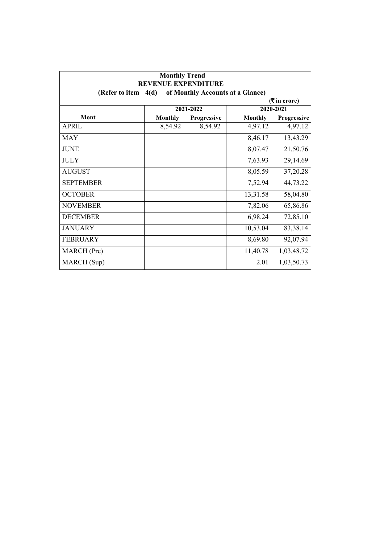| <b>Monthly Trend</b><br><b>REVENUE EXPENDITURE</b> |                |                                  |                |                             |
|----------------------------------------------------|----------------|----------------------------------|----------------|-----------------------------|
| (Refer to item                                     | 4(d)           | of Monthly Accounts at a Glance) |                |                             |
|                                                    |                |                                  |                | $(3\overline{5})$ in crore) |
|                                                    |                | 2021-2022                        |                | 2020-2021                   |
| Mont                                               | <b>Monthly</b> | Progressive                      | <b>Monthly</b> | Progressive                 |
| <b>APRIL</b>                                       | 8,54.92        | 8,54.92                          | 4,97.12        | 4,97.12                     |
| <b>MAY</b>                                         |                |                                  | 8,46.17        | 13,43.29                    |
| <b>JUNE</b>                                        |                |                                  | 8,07.47        | 21,50.76                    |
| <b>JULY</b>                                        |                |                                  | 7,63.93        | 29,14.69                    |
| <b>AUGUST</b>                                      |                |                                  | 8,05.59        | 37,20.28                    |
| <b>SEPTEMBER</b>                                   |                |                                  | 7,52.94        | 44,73.22                    |
| <b>OCTOBER</b>                                     |                |                                  | 13,31.58       | 58,04.80                    |
| <b>NOVEMBER</b>                                    |                |                                  | 7,82.06        | 65,86.86                    |
| <b>DECEMBER</b>                                    |                |                                  | 6,98.24        | 72,85.10                    |
| <b>JANUARY</b>                                     |                |                                  | 10,53.04       | 83,38.14                    |
| <b>FEBRUARY</b>                                    |                |                                  | 8,69.80        | 92,07.94                    |
| MARCH (Pre)                                        |                |                                  | 11,40.78       | 1,03,48.72                  |
| MARCH (Sup)                                        |                |                                  | 2.01           | 1,03,50.73                  |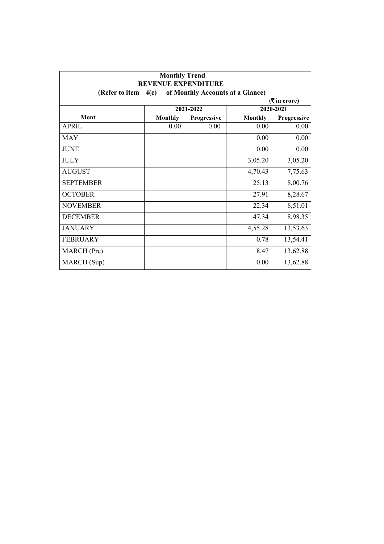| <b>Monthly Trend</b><br><b>REVENUE EXPENDITURE</b> |                |                                  |                |               |
|----------------------------------------------------|----------------|----------------------------------|----------------|---------------|
| (Refer to item                                     | 4(e)           | of Monthly Accounts at a Glance) |                |               |
|                                                    |                |                                  |                | ( ₹ in error) |
|                                                    |                | 2021-2022                        |                | 2020-2021     |
| Mont                                               | <b>Monthly</b> | Progressive                      | <b>Monthly</b> | Progressive   |
| <b>APRIL</b>                                       | 0.00           | 0.00                             | 0.00           | 0.00          |
| <b>MAY</b>                                         |                |                                  | 0.00           | 0.00          |
| <b>JUNE</b>                                        |                |                                  | 0.00           | 0.00          |
| <b>JULY</b>                                        |                |                                  | 3,05.20        | 3,05.20       |
| <b>AUGUST</b>                                      |                |                                  | 4,70.43        | 7,75.63       |
| <b>SEPTEMBER</b>                                   |                |                                  | 25.13          | 8,00.76       |
| <b>OCTOBER</b>                                     |                |                                  | 27.91          | 8,28.67       |
| <b>NOVEMBER</b>                                    |                |                                  | 22.34          | 8,51.01       |
| <b>DECEMBER</b>                                    |                |                                  | 47.34          | 8,98.35       |
| <b>JANUARY</b>                                     |                |                                  | 4,55.28        | 13,53.63      |
| <b>FEBRUARY</b>                                    |                |                                  | 0.78           | 13,54.41      |
| MARCH (Pre)                                        |                |                                  | 8.47           | 13,62.88      |
| MARCH (Sup)                                        |                |                                  | 0.00           | 13,62.88      |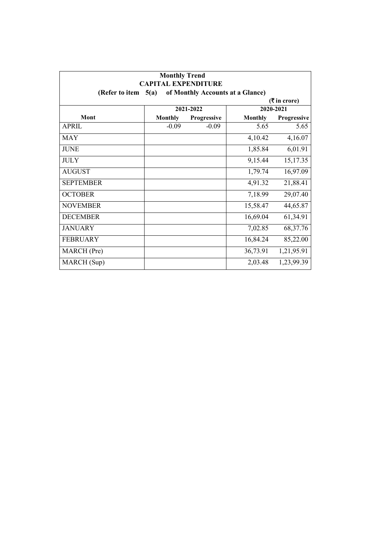| <b>Monthly Trend</b><br><b>CAPITAL EXPENDITURE</b><br>of Monthly Accounts at a Glance)<br>(Refer to item<br>5(a) |                |             |                |             |  |  |  |
|------------------------------------------------------------------------------------------------------------------|----------------|-------------|----------------|-------------|--|--|--|
|                                                                                                                  |                |             |                |             |  |  |  |
|                                                                                                                  | 2021-2022      |             |                | 2020-2021   |  |  |  |
| Mont                                                                                                             | <b>Monthly</b> | Progressive | <b>Monthly</b> | Progressive |  |  |  |
| <b>APRIL</b>                                                                                                     | $-0.09$        | $-0.09$     | 5.65           | 5.65        |  |  |  |
| <b>MAY</b>                                                                                                       |                |             | 4,10.42        | 4,16.07     |  |  |  |
| <b>JUNE</b>                                                                                                      |                |             | 1,85.84        | 6,01.91     |  |  |  |
| <b>JULY</b>                                                                                                      |                |             | 9,15.44        | 15,17.35    |  |  |  |
| <b>AUGUST</b>                                                                                                    |                |             | 1,79.74        | 16,97.09    |  |  |  |
| <b>SEPTEMBER</b>                                                                                                 |                |             | 4,91.32        | 21,88.41    |  |  |  |
| <b>OCTOBER</b>                                                                                                   |                |             | 7,18.99        | 29,07.40    |  |  |  |
| <b>NOVEMBER</b>                                                                                                  |                |             | 15,58.47       | 44,65.87    |  |  |  |
| <b>DECEMBER</b>                                                                                                  |                |             | 16,69.04       | 61,34.91    |  |  |  |
| <b>JANUARY</b>                                                                                                   |                |             | 7,02.85        | 68, 37. 76  |  |  |  |
| <b>FEBRUARY</b>                                                                                                  |                |             | 16,84.24       | 85,22.00    |  |  |  |
| MARCH (Pre)                                                                                                      |                |             | 36,73.91       | 1,21,95.91  |  |  |  |
| MARCH (Sup)                                                                                                      |                |             | 2,03.48        | 1,23,99.39  |  |  |  |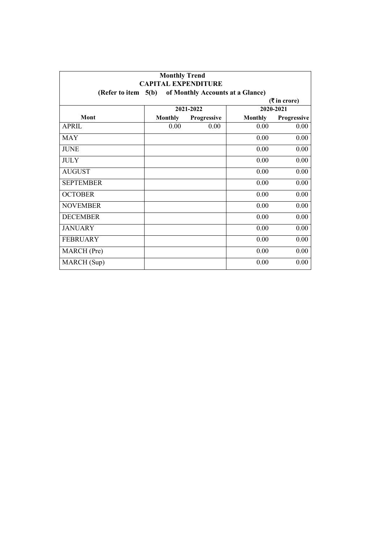| <b>Monthly Trend</b><br><b>CAPITAL EXPENDITURE</b><br>of Monthly Accounts at a Glance)<br>(Refer to item $5(b)$ ) |                |             |                |             |  |  |  |
|-------------------------------------------------------------------------------------------------------------------|----------------|-------------|----------------|-------------|--|--|--|
|                                                                                                                   |                |             |                |             |  |  |  |
|                                                                                                                   | 2021-2022      |             |                | 2020-2021   |  |  |  |
| Mont                                                                                                              | <b>Monthly</b> | Progressive | <b>Monthly</b> | Progressive |  |  |  |
| <b>APRIL</b>                                                                                                      | 0.00           | 0.00        | 0.00           | 0.00        |  |  |  |
| <b>MAY</b>                                                                                                        |                |             | 0.00           | 0.00        |  |  |  |
| <b>JUNE</b>                                                                                                       |                |             | 0.00           | 0.00        |  |  |  |
| <b>JULY</b>                                                                                                       |                |             | 0.00           | 0.00        |  |  |  |
| <b>AUGUST</b>                                                                                                     |                |             | 0.00           | 0.00        |  |  |  |
| <b>SEPTEMBER</b>                                                                                                  |                |             | 0.00           | 0.00        |  |  |  |
| <b>OCTOBER</b>                                                                                                    |                |             | 0.00           | 0.00        |  |  |  |
| <b>NOVEMBER</b>                                                                                                   |                |             | 0.00           | 0.00        |  |  |  |
| <b>DECEMBER</b>                                                                                                   |                |             | 0.00           | 0.00        |  |  |  |
| <b>JANUARY</b>                                                                                                    |                |             | 0.00           | 0.00        |  |  |  |
| <b>FEBRUARY</b>                                                                                                   |                |             | 0.00           | 0.00        |  |  |  |
| MARCH (Pre)                                                                                                       |                |             | 0.00           | 0.00        |  |  |  |
| MARCH (Sup)                                                                                                       |                |             | 0.00           | 0.00        |  |  |  |